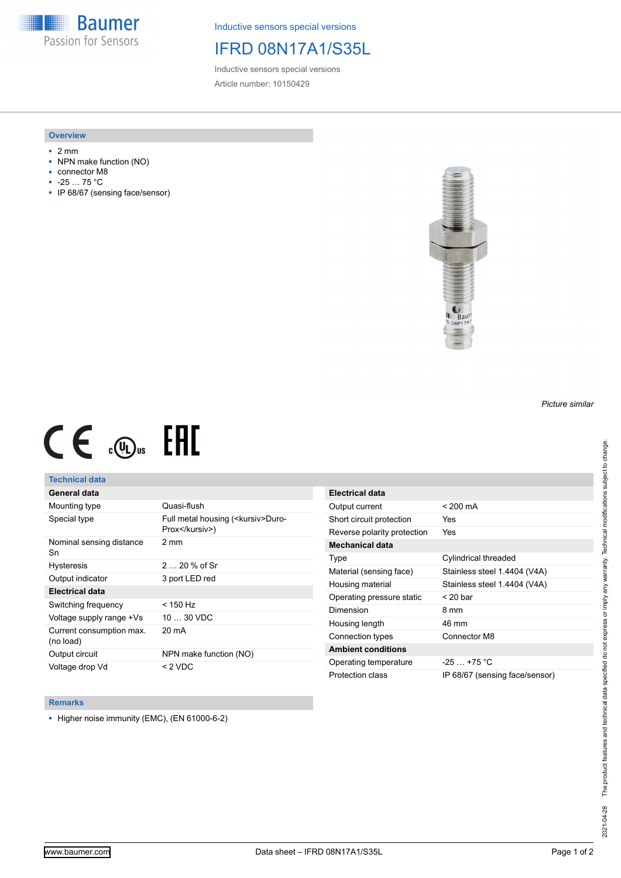**Baumer** Passion for Sensors

Inductive sensors special versions

# IFRD 08N17A1/S35L

Inductive sensors special versions Article number: 10150429

### **Overview**

- 2 mm
- NPN make function (NO)
- connector M8
- -25 … 75 °C
- IP 68/67 (sensing face/sensor)



# $CE \mathcal{L}$  ( $\mathcal{L}$  and  $SE$

## **Technical data**

## **General data**

| Mounting type                         | Quasi-flush                                            |
|---------------------------------------|--------------------------------------------------------|
| Special type                          | Full metal housing ( <kursiv>Duro-<br/>Prox</kursiv> ) |
| Nominal sensing distance<br>Sn        | $2 \text{ mm}$                                         |
| <b>Hysteresis</b>                     | $220%$ of Sr                                           |
| Output indicator                      | 3 port LED red                                         |
| <b>Electrical data</b>                |                                                        |
| Switching frequency                   | < 150 Hz                                               |
| Voltage supply range +Vs              | $1030$ VDC                                             |
| Current consumption max.<br>(no load) | 20 mA                                                  |
| Output circuit                        | NPN make function (NO)                                 |
| Voltage drop Vd                       | < 2 VDC                                                |

| Electrical data             |                                |
|-----------------------------|--------------------------------|
| Output current              | $< 200 \text{ mA}$             |
| Short circuit protection    | Yes                            |
| Reverse polarity protection | Yes                            |
| Mechanical data             |                                |
| Type                        | Cylindrical threaded           |
| Material (sensing face)     | Stainless steel 1.4404 (V4A)   |
| Housing material            | Stainless steel 1.4404 (V4A)   |
| Operating pressure static   | $<$ 20 bar                     |
| Dimension                   | 8 mm                           |
| Housing length              | 46 mm                          |
| Connection types            | Connector M8                   |
| <b>Ambient conditions</b>   |                                |
| Operating temperature       | $-25 - +75$ °C                 |
| Protection class            | IP 68/67 (sensing face/sensor) |

#### **Remarks**

■ Higher noise immunity (EMC), (EN 61000-6-2)

*Picture similar*